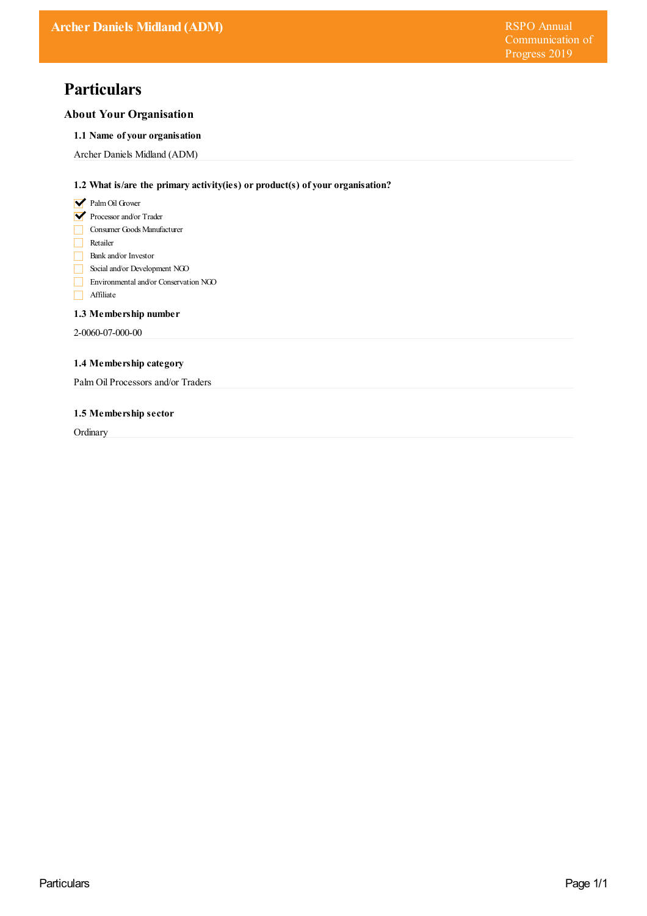# **Particulars**

# **About Your Organisation**

## **1.1 Name of your organisation**

Archer Daniels Midland (ADM)

# **1.2 What is/are the primary activity(ies) or product(s) of your organisation?**

- **V** Palm Oil Grower
- Processor and/or Trader
- Consumer Goods Manufacturer
- Retailer
- Bank and/or Investor
- Social and/or Development NGO
- Environmental and/or Conservation NGO
- Affiliate

## **1.3 Membership number**

2-0060-07-000-00

# **1.4 Membership category**

Palm Oil Processors and/or Traders

## **1.5 Membership sector**

**Ordinary**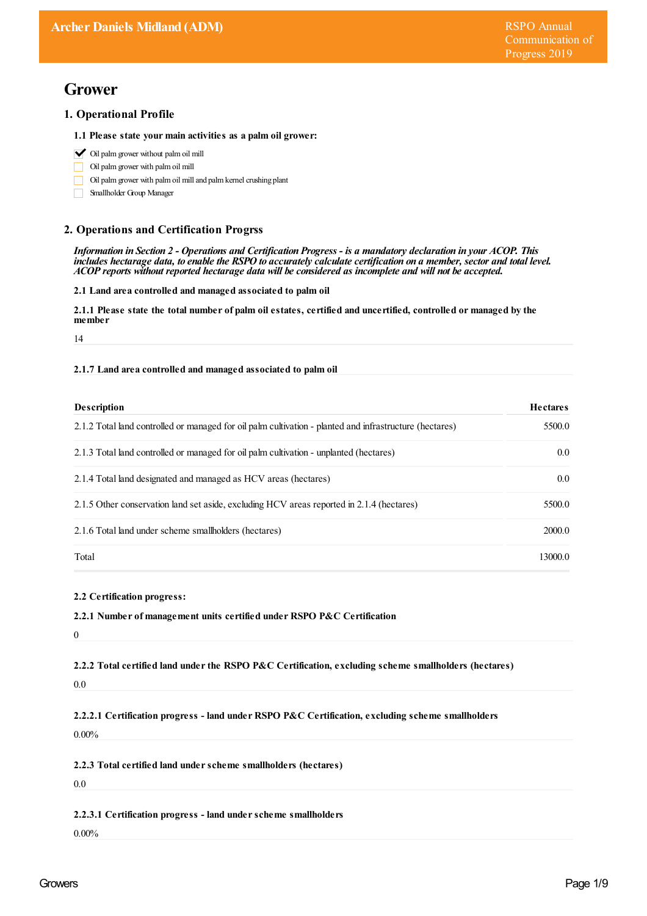# **Grower**

# **1. Operational Profile**

### **1.1 Please state your main activities as a palm oil grower:**

- $\bigvee$  Oil palm grower without palm oil mill
- Oil palmgrower with palmoil mill
- Oil palm grower with palm oil mill and palm kernel crushing plant
- П Smallholder Group Manager

# **2. Operations and Certification Progrss**

Information in Section 2 - Operations and Certification Progress - is a mandatory declaration in your ACOP. This includes hectarage data, to enable the RSPO to accurately calculate certification on a member, sector and total level. *ACOP reports without reported hectarage data will be considered as incomplete and will not be accepted.*

**2.1 Land area controlled and managed associated to palm oil**

2.1.1 Please state the total number of palm oil estates, certified and uncertified, controlled or managed by the member

14

## **2.1.7 Land area controlled and managed associated to palm oil**

| <b>Description</b>                                                                                      | <b>Hectares</b> |
|---------------------------------------------------------------------------------------------------------|-----------------|
| 2.1.2 Total land controlled or managed for oil palm cultivation - planted and infrastructure (hectares) | 5500.0          |
| 2.1.3 Total land controlled or managed for oil palm cultivation - unplanted (hectares)                  | 0.0             |
| 2.1.4 Total land designated and managed as HCV areas (hectares)                                         | 0.0             |
| 2.1.5 Other conservation land set aside, excluding HCV areas reported in 2.1.4 (hectares)               | 5500.0          |
| 2.1.6 Total land under scheme smallholders (hectares)                                                   | 2000.0          |
| Total                                                                                                   | 13000.0         |

### **2.2 Certification progress:**

### **2.2.1 Number of management units certified under RSPO P&C Certification**

0

**2.2.2 Total certified land underthe RSPO P&C Certification, excluding scheme smallholders (hectares)**

0.0

**2.2.2.1 Certification progress - land under RSPO P&C Certification, excluding scheme smallholders**

0.00%

**2.2.3 Total certified land underscheme smallholders (hectares)**

 $0.0$ 

### **2.2.3.1 Certification progress - land underscheme smallholders**

0.00%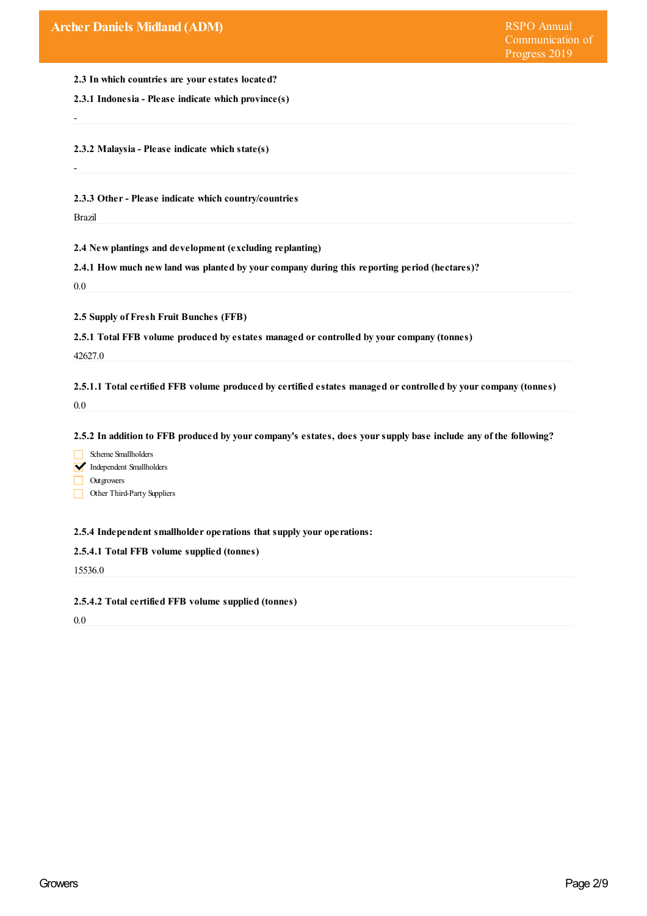**2.3 In which countries are yourestates located?**

**2.3.1 Indonesia - Please indicate which province(s)**

**2.3.2 Malaysia - Please indicate which state(s)**

-

-

**2.3.3 Other- Please indicate which country/countries**

Brazil

**2.4 New plantings and development (excluding replanting)**

**2.4.1 How much new land was planted by yourcompany during this reporting period (hectares)?**

0.0

**2.5 Supply of Fresh Fruit Bunches (FFB)**

**2.5.1 Total FFB volume produced by estates managed orcontrolled by yourcompany (tonnes)**

42627.0

**2.5.1.1 Total certified FFB volume produced by certified estates managed orcontrolled by yourcompany (tonnes)** 0.0

2.5.2 In addition to FFB produced by your company's estates, does your supply base include any of the following?

Scheme Smallholders

Independent Smallholders

**Outgrowers** 

Other Third-Party Suppliers

**2.5.4 Independent smallholder operations that supply your operations:**

## **2.5.4.1 Total FFB volume supplied (tonnes)**

15536.0

**2.5.4.2 Total certified FFB volume supplied (tonnes)**

0.0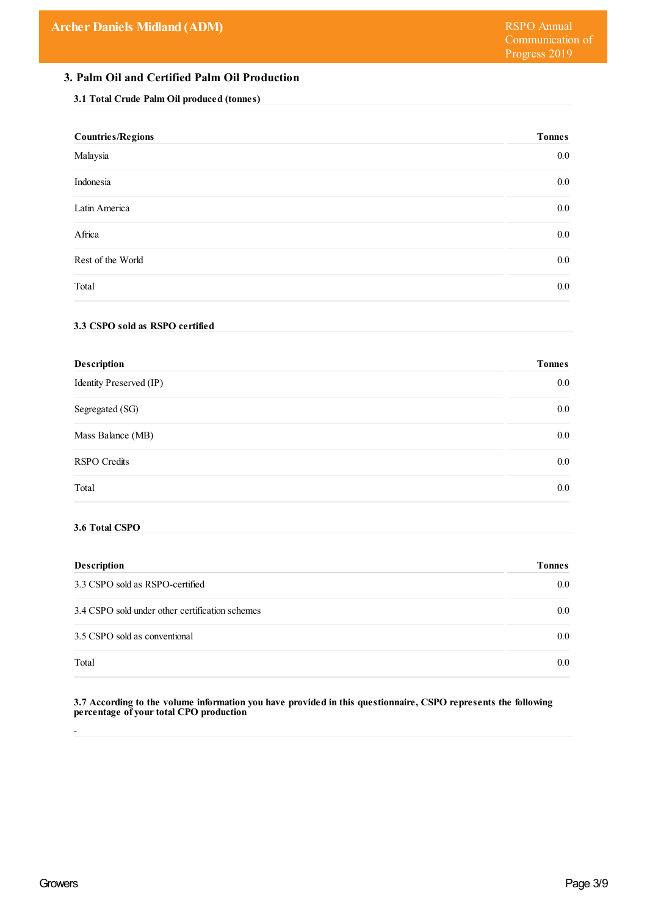# **3. Palm Oil and Certified Palm Oil Production**

## **3.1 Total Crude Palm Oil produced (tonnes)**

| <b>Countries/Regions</b> | <b>Tonnes</b> |
|--------------------------|---------------|
| Malaysia                 | $0.0\,$       |
| Indonesia                | $0.0\,$       |
| Latin America            | $0.0\,$       |
| Africa                   | $0.0\,$       |
| Rest of the World        | $0.0\,$       |
| Total                    | $0.0\,$       |
|                          |               |

# **3.3 CSPO sold as RSPO certified**

| <b>Tonnes</b> |
|---------------|
| $0.0\,$       |
| $0.0\,$       |
| $0.0\,$       |
| $0.0\,$       |
| $0.0\,$       |
|               |

## **3.6 Total CSPO**

| <b>Description</b>                              | <b>Tonnes</b>    |
|-------------------------------------------------|------------------|
| 3.3 CSPO sold as RSPO-certified                 | $0.0\,$          |
| 3.4 CSPO sold under other certification schemes | $0.0\,$          |
| 3.5 CSPO sold as conventional                   | 0.0 <sub>1</sub> |
| Total                                           | $0.0\,$          |

**3.7 According to the volume information you have provided in this questionnaire, CSPO represents the following percentage of yourtotal CPO production**

-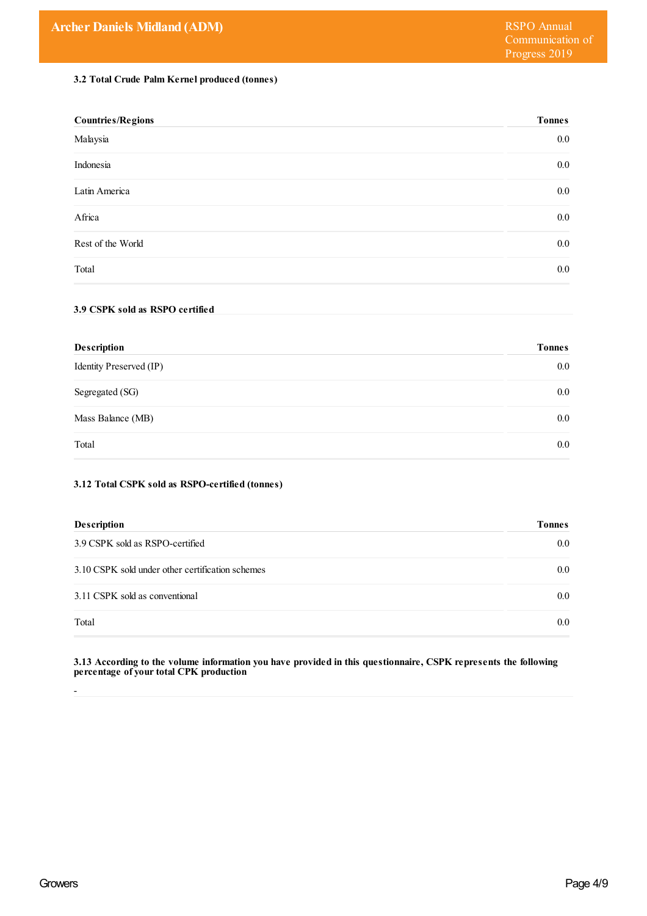# **3.2 Total Crude Palm Kernel produced (tonnes)**

| <b>Countries/Regions</b> | <b>Tonnes</b> |
|--------------------------|---------------|
| Malaysia                 | $0.0\,$       |
| Indonesia                | $0.0\,$       |
| Latin America            | $0.0\,$       |
| Africa                   | $0.0\,$       |
| Rest of the World        | $0.0\,$       |
| Total                    | $0.0\,$       |

## **3.9 CSPK sold as RSPO certified**

| <b>Description</b>      | <b>Tonnes</b> |
|-------------------------|---------------|
| Identity Preserved (IP) | $0.0\,$       |
| Segregated (SG)         | $0.0\,$       |
| Mass Balance (MB)       | $0.0\,$       |
| Total                   | $0.0\,$       |

# **3.12 Total CSPK sold as RSPO-certified (tonnes)**

| <b>Description</b>                               | <b>Tonnes</b> |
|--------------------------------------------------|---------------|
| 3.9 CSPK sold as RSPO-certified                  | $0.0\,$       |
| 3.10 CSPK sold under other certification schemes | $0.0\,$       |
| 3.11 CSPK sold as conventional                   | $0.0\,$       |
| Total                                            | $0.0\,$       |

**3.13 According to the volume information you have provided in this questionnaire, CSPK represents the following percentage of yourtotal CPK production**

-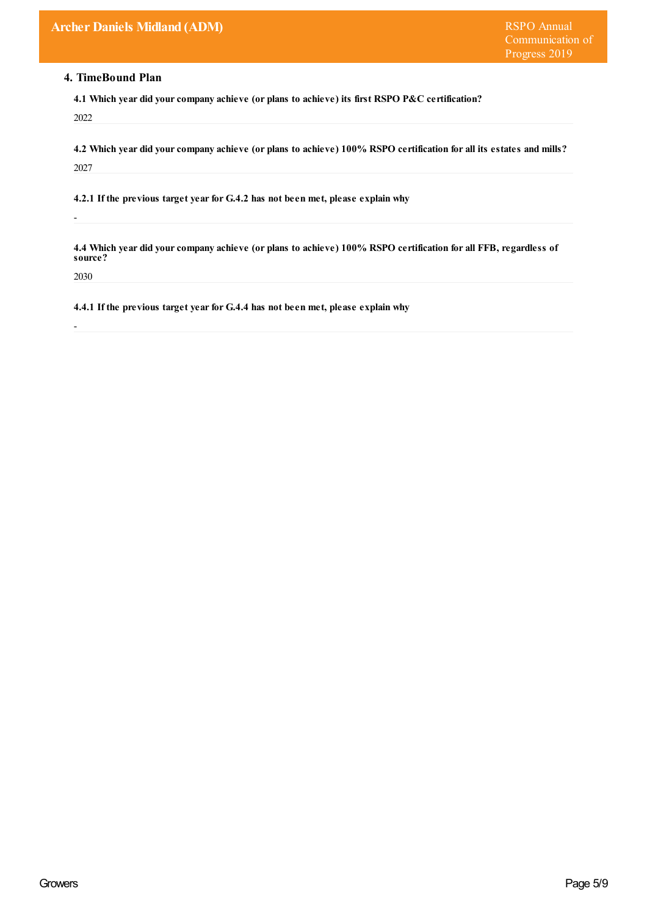# **4. TimeBound Plan**

**4.1 Which year did yourcompany achieve (or plans to achieve) its first RSPO P&C certification?** 2022

4.2 Which year did your company achieve (or plans to achieve) 100% RSPO certification for all its estates and mills? 2027

**4.2.1 If the previous target yearfor G.4.2 has not been met, please explain why**

4.4 Which year did your company achieve (or plans to achieve) 100% RSPO certification for all FFB, regardless of **source?**

2030

-

-

**4.4.1 If the previous target yearfor G.4.4 has not been met, please explain why**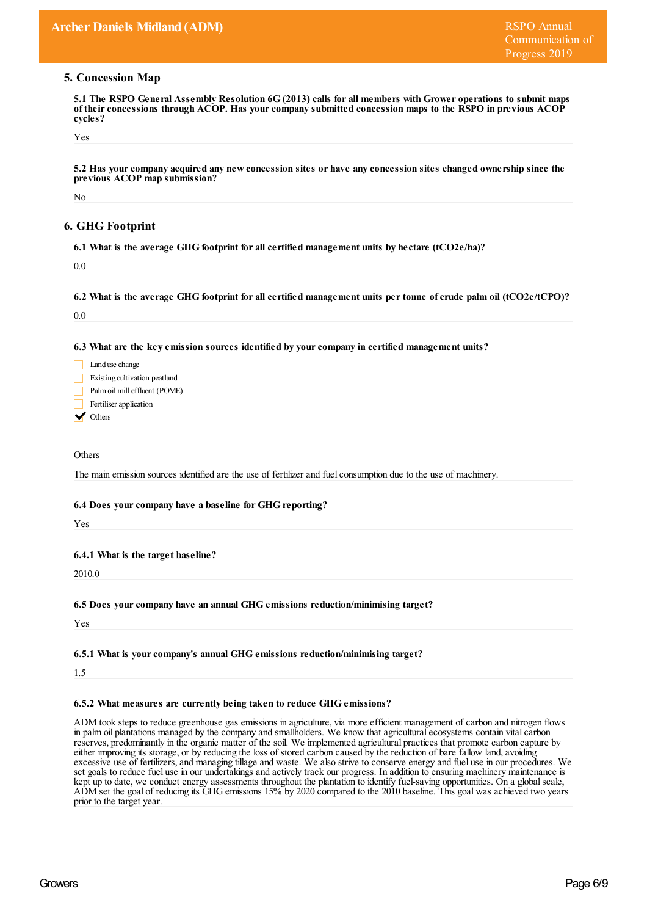## **5. Concession Map**

5.1 The RSPO General Assembly Resolution 6G (2013) calls for all members with Grower operations to submit maps **of theirconcessions through ACOP. Has yourcompany submitted concession maps to the RSPO in previous ACOP cycles?**

Yes

5.2 Has your company acquired any new concession sites or have any concession sites changed ownership since the **previous ACOP map submission?**

No

# **6. GHG Footprint**

**6.1 What is the average GHG footprint for all certified management units by hectare (tCO2e/ha)?**

0.0

6.2 What is the average GHG footprint for all certified management units per tonne of crude palm oil (tCO2e/tCPO)?

 $0.0$ 

**6.3 What are the key emission sources identified by yourcompany in certified management units?**

| Land use change               |
|-------------------------------|
| Existing cultivation peatland |
| Palm oil mill effluent (POME) |
| Fertiliser application        |

**V** Others

**Others** 

The main emission sources identified are the use of fertilizer and fuel consumption due to the use of machinery.

## **6.4 Does yourcompany have a baseline for GHG reporting?**

Yes

### **6.4.1 What is the target baseline?**

2010.0

#### **6.5 Does yourcompany have an annual GHG emissions reduction/minimising target?**

Yes

#### **6.5.1 What is yourcompany's annual GHG emissions reduction/minimising target?**

1.5

### **6.5.2 What measures are currently being taken to reduce GHG emissions?**

ADM took steps to reduce greenhouse gas emissions in agriculture, via more efficient management of carbon and nitrogen flows in palm oil plantations managed by the company and smallholders. We know that agriculturalecosystems contain vitalcarbon reserves, predominantly in the organic matter of the soil. We implemented agricultural practices that promote carbon capture by either improving its storage, or by reducing the loss of stored carbon caused by the reduction of bare fallow land, avoiding excessive use of fertilizers, and managing tillage and waste. We also strive to conserve energy and fuel use in our procedures. We set goals to reduce fuel use in our undertakings and actively track our progress. In addition to ensuring machinery maintenance is kept up to date, we conduct energy assessments throughout the plantation to identify fuel-saving opportunities. On a global scale, ADM set the goal of reducing its GHG emissions 15% by 2020 compared to the 2010 baseline. This goal was achieved two years prior to the target year.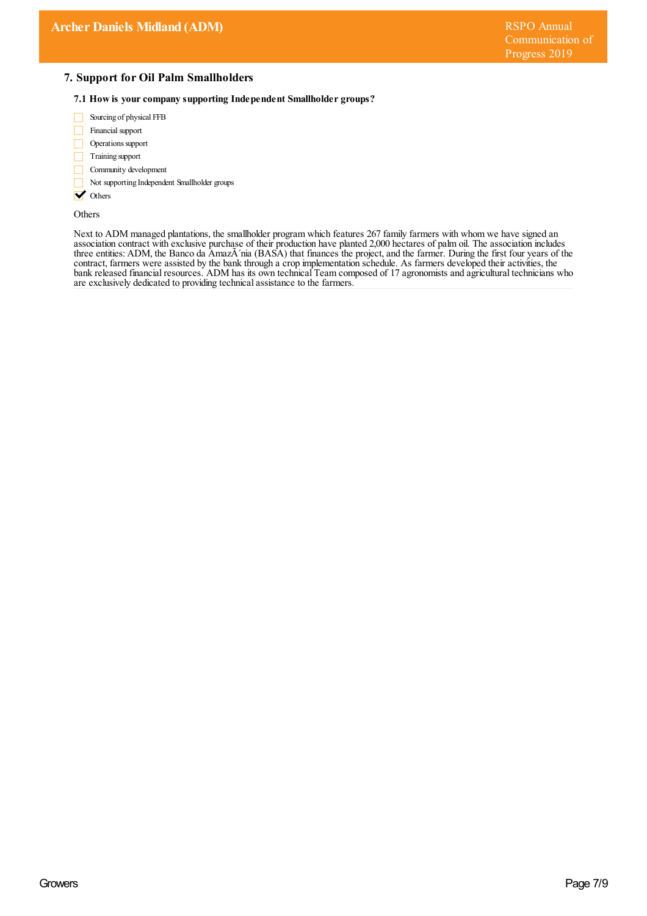## **7. Support for Oil Palm Smallholders**

#### **7.1 How is yourcompany supporting Independent Smallholder groups?**

- Sourcing of physical FFB П
- Financial support
- Operations support П
- $\Box$  Training support
- Community development
- Not supporting Independent Smallholder groups
- **V** Others

Others

Next to ADM managed plantations, the smallholder program which features 267 family farmers with whom we have signed an association contract with exclusive purchase of their production have planted 2,000 hectares of palm oil. The association includes three entities: ADM, the Banco da Amaz nia (BASA) that finances the project, and the farmer. During the first four years of the contract, farmers were assisted by the bank through a crop implementation schedule. As farmers developed their activities, the bank released financial resources. ADM has its own technical Team composed of 17 agronomists and agricultural technicians who are exclusively dedicated to providing technicalassistance to the farmers.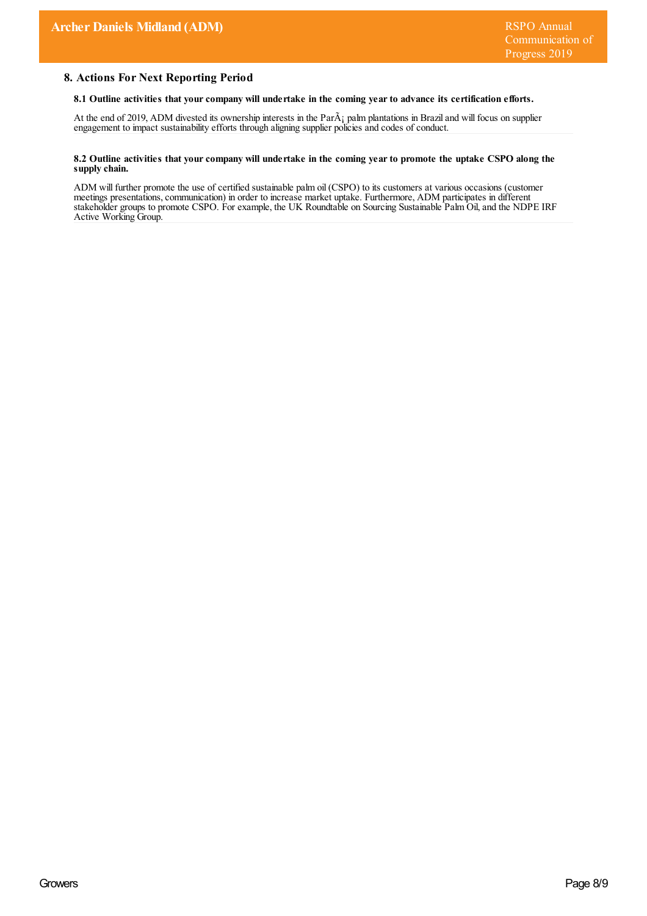## **8. Actions For Next Reporting Period**

#### **8.1 Outline activities that yourcompany will undertake in the coming yearto advance its certification efforts.**

At the end of 2019, ADM divested its ownership interests in the Par $\tilde{A}$ ; palm plantations in Brazil and will focus on supplier engagement to impact sustainability efforts through aligning supplier policies and codes of conduct.

#### 8.2 Outline activities that your company will undertake in the coming year to promote the uptake CSPO along the **supply chain.**

ADM will further promote the use of certified sustainable palm oil (CSPO) to its customers at various occasions (customer meetings presentations,communication) in order to increase market uptake. Furthermore, ADM participates in different stakeholder groups to promote CSPO. For example, the UK Roundtable on Sourcing Sustainable Palm Oil, and the NDPE IRF Active Working Group.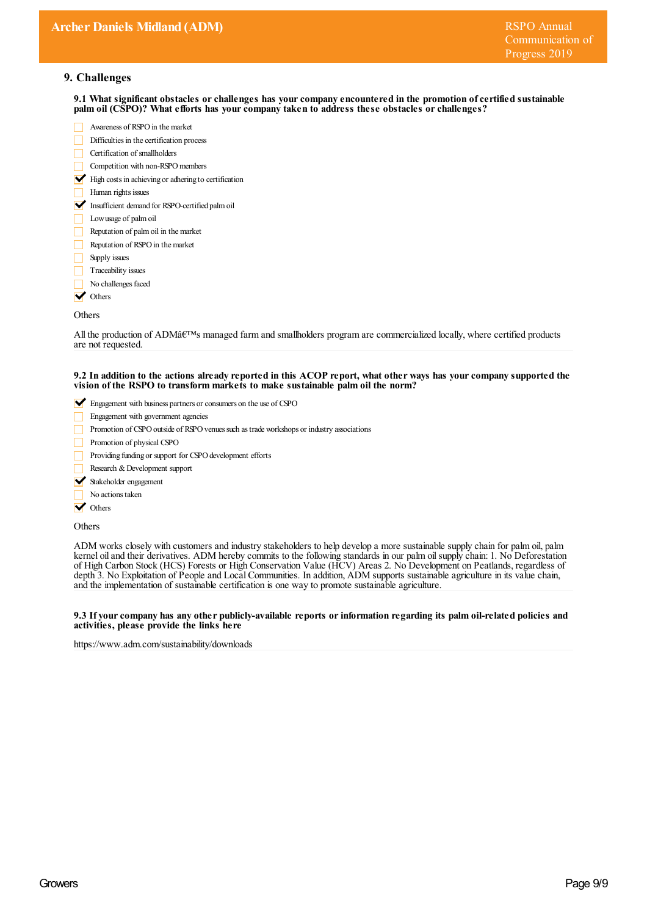## **9. Challenges**

**9.1 What significant obstacles orchallenges has yourcompany encountered in the promotion ofcertified sustainable palm oil (CSPO)? What efforts has yourcompany taken to address these obstacles orchallenges?**

- Awareness of RSPO in the market Difficulties in the certification process Certification of smallholders
- Competition with non-RSPOmembers
- $\blacktriangleright$  High costs in achieving or adhering to certification
- Human rights issues
- Insufficient demand for RSPO-certified palm oil
- Lowusage of palmoil
- Reputation of palmoil in themarket
- Reputation of RSPO in the market
- Supply issues
- $\Box$  Traceability issues
- No challenges faced
- **V** Others

#### **Others**

All the production of ADMâ $\varepsilon$ <sup>rm</sup>s managed farm and smallholders program are commercialized locally, where certified products are not requested.

#### 9.2 In addition to the actions already reported in this ACOP report, what other ways has your company supported the **vision of the RSPO to transform markets to make sustainable palm oil the norm?**

- Engagement with business partners or consumers on the use of CSPO
- Engagement with government agencies
- Promotion of CSPO outside of RSPO venues such as trade workshops or industry associations
- Promotion of physical CSPO
- П Providing funding or support for CSPO development efforts
- Research & Development support
- Stakeholder engagement
- No actions taken
- **V** Others

#### **Others**

ADM works closely with customers and industry stakeholders to help develop a more sustainable supply chain for palm oil, palm kernel oiland their derivatives. ADM hereby commits to the following standards in our palm oilsupply chain: 1. No Deforestation of High Carbon Stock (HCS) Forests or High Conservation Value (HCV) Areas 2. No Development on Peatlands, regardless of depth 3. No Exploitation of People and Local Communities. In addition, ADM supports sustainable agriculture in its value chain, and the implementation of sustainable certification is one way to promote sustainable agriculture.

#### **9.3 If yourcompany has any other publicly-available reports orinformation regarding its palm oil-related policies and activities, please provide the links here**

https://www.adm.com/sustainability/downloads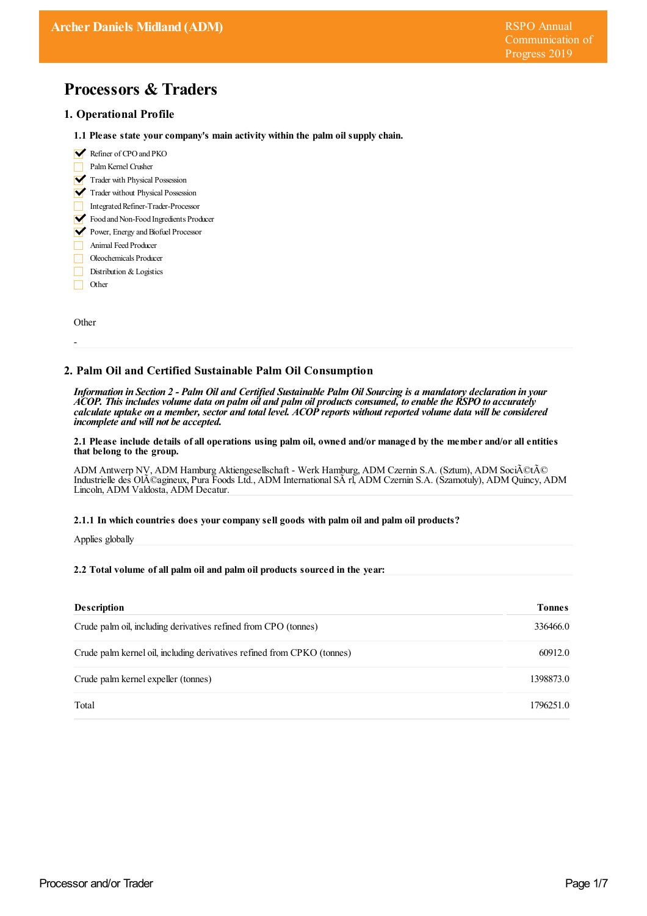# **Processors & Traders**

## **1. Operational Profile**

- **1.1 Please state yourcompany's main activity within the palm oil supply chain.**
- Refiner of CPO and PKO
- PalmKernel Crusher
- Trader with Physical Possession
- Trader without Physical Possession
- Integrated Refiner-Trader-Processor
- Food and Non-Food Ingredients Producer
- Power, Energy and Biofuel Processor
- Animal FeedProducer
- Oleochemicals Producer
- Distribution & Logistics
- Other П

**Other** 

-

## **2. Palm Oil and Certified Sustainable Palm Oil Consumption**

Information in Section 2 - Palm Oil and Certified Sustainable Palm Oil Sourcing is a mandatory declaration in your ACOP. This includes volume data on palm oil and palm oil products consumed, to enable the RSPO to accurately calculate uptake on a member, sector and total level. ACOP reports without reported volume data will be considered *incomplete and will not be accepted.*

#### 2.1 Please include details of all operations using palm oil, owned and/or managed by the member and/or all entities **that belong to the group.**

ADM Antwerp NV, ADM Hamburg Aktiengesellschaft - Werk Hamburg, ADM Czernin S.A. (Sztum), ADM Société Industrielle des Ol $A$ Cagineux, Pura Foods Ltd., ADM International S $\tilde{A}$ rl, ADM Czernin S.A. (Szamotuly), ADM Quincy, ADM Lincoln, ADM Valdosta, ADM Decatur.

#### **2.1.1 In which countries does yourcompany sell goods with palm oil and palm oil products?**

Applies globally

#### **2.2 Total volume of all palm oil and palm oil products sourced in the year:**

| <b>Description</b>                                                      | <b>Tonnes</b> |
|-------------------------------------------------------------------------|---------------|
| Crude palm oil, including derivatives refined from CPO (tonnes)         | 336466.0      |
| Crude palm kernel oil, including derivatives refined from CPKO (tonnes) | 60912.0       |
| Crude palm kernel expeller (tonnes)                                     | 1398873.0     |
| Total                                                                   | 1796251.0     |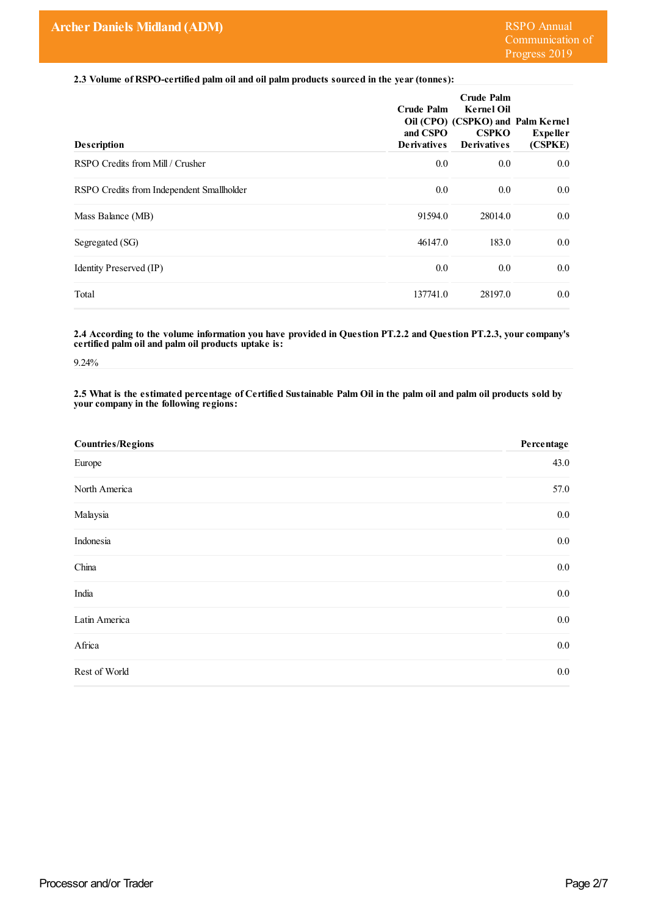**2.3 Volume of RSPO-certified palm oil and oil palm products sourced in the year(tonnes):**

| <b>Description</b>                        | Crude Palm<br>and CSPO<br><b>Derivatives</b> | <b>Crude Palm</b><br><b>Kernel Oil</b><br>Oil (CPO) (CSPKO) and Palm Kernel<br><b>CSPKO</b><br><b>Derivatives</b> | <b>Expeller</b><br>(CSPKE) |
|-------------------------------------------|----------------------------------------------|-------------------------------------------------------------------------------------------------------------------|----------------------------|
| RSPO Credits from Mill / Crusher          | 0.0                                          | 0.0                                                                                                               | 0.0                        |
| RSPO Credits from Independent Smallholder | 0.0                                          | 0.0                                                                                                               | 0.0                        |
| Mass Balance (MB)                         | 91594.0                                      | 28014.0                                                                                                           | 0.0                        |
| Segregated (SG)                           | 46147.0                                      | 183.0                                                                                                             | 0.0                        |
| Identity Preserved (IP)                   | 0.0                                          | 0.0                                                                                                               | 0.0                        |
| Total                                     | 137741.0                                     | 28197.0                                                                                                           | 0.0                        |

**2.4 According to the volume information you have provided in Question PT.2.2 and Question PT.2.3, yourcompany's certified palm oil and palm oil products uptake is:**

9.24%

2.5 What is the estimated percentage of Certified Sustainable Palm Oil in the palm oil and palm oil products sold by **yourcompany in the following regions:**

| <b>Countries/Regions</b> | Percentage |
|--------------------------|------------|
| Europe                   | 43.0       |
| North America            | 57.0       |
| Malaysia                 | $0.0\,$    |
| Indonesia                | $0.0\,$    |
| China                    | $0.0\,$    |
| India                    | $0.0\,$    |
| Latin America            | $0.0\,$    |
| Africa                   | $0.0\,$    |
| Rest of World            | $0.0\,$    |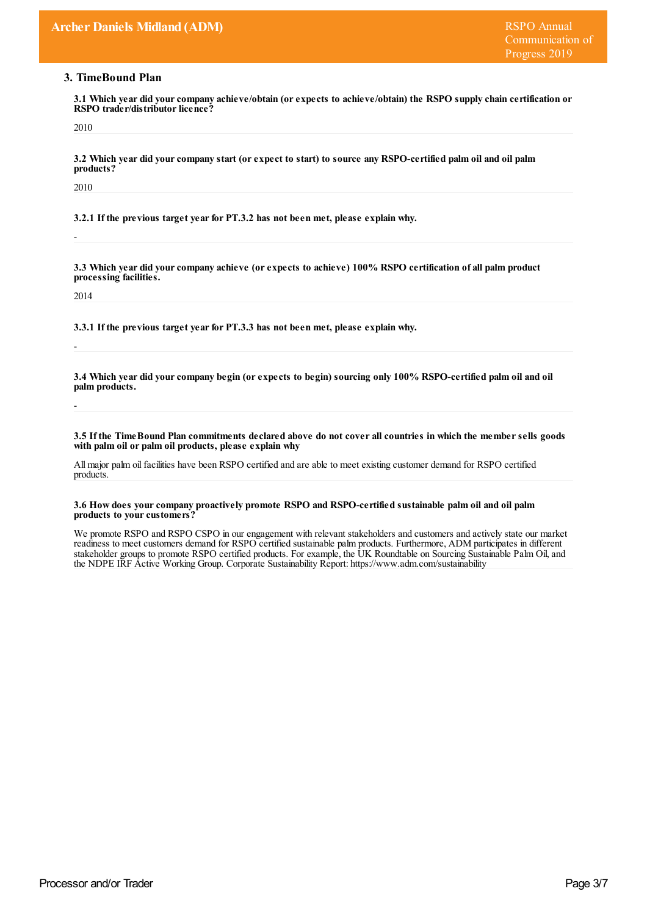# **3. TimeBound Plan**

**3.1 Which year did yourcompany achieve/obtain (orexpects to achieve/obtain) the RSPO supply chain certification or RSPO** trader/distributor licence?

2010

3.2 Which year did your company start (or expect to start) to source any RSPO-certified palm oil and oil palm **products?**

2010

-

**3.2.1 If the previous target yearfor PT.3.2 has not been met, please explain why.**

**3.3 Which year did yourcompany achieve (orexpects to achieve) 100% RSPO certification of all palm product processing facilities.**

2014

-

-

**3.3.1 If the previous target yearfor PT.3.3 has not been met, please explain why.**

3.4 Which year did your company begin (or expects to begin) sourcing only 100% RSPO-certified palm oil and oil **palm products.**

3.5 If the Time Bound Plan commitments declared above do not cover all countries in which the member sells goods **with palm oil or palm oil products, please explain why**

Allmajor palm oil facilities have been RSPO certified and are able to meet existing customer demand for RSPO certified products.

#### **3.6 How does yourcompany proactively promote RSPO and RSPO-certified sustainable palm oil and oil palm** products to your customers?

We promote RSPO and RSPO CSPO in our engagement with relevant stakeholders and customers and actively state our market readiness to meet customers demand for RSPO certified sustainable palm products. Furthermore, ADM participates in different stakeholder groups to promote RSPO certified products. For example, the UK Roundtable on Sourcing Sustainable Palm Oil, and the NDPE IRF Active Working Group. Corporate Sustainability Report: https://www.adm.com/sustainability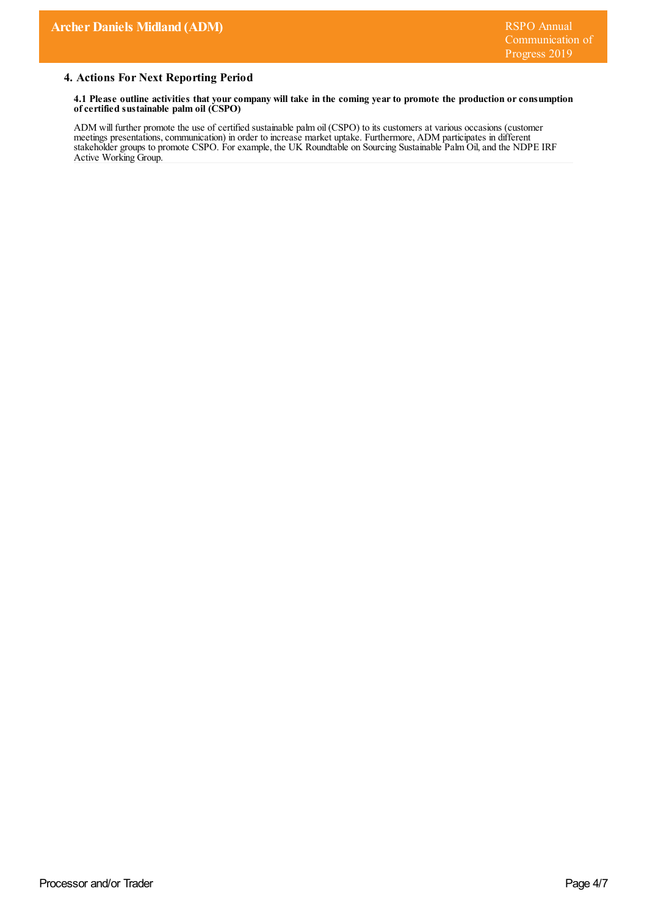# **4. Actions For Next Reporting Period**

4.1 Please outline activities that your company will take in the coming year to promote the production or consumption **ofcertified sustainable palm oil (CSPO)**

ADM will further promote the use of certified sustainable palm oil (CSPO) to its customers at various occasions (customer meetings presentations,communication) in order to increase market uptake. Furthermore, ADM participates in different stakeholder groups to promote CSPO. For example, the UK Roundtable on Sourcing Sustainable Palm Oil,and the NDPE IRF Active Working Group.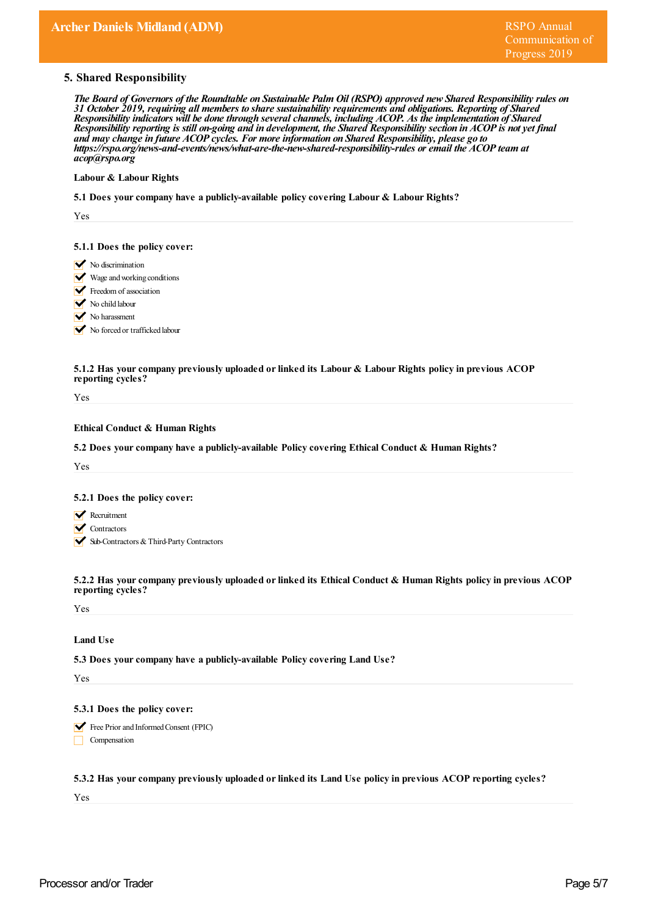## **5. Shared Responsibility**

The Board of Governors of the Roundtable on Sustainable Palm Oil (RSPO) approved new Shared Responsibility rules on *31 October 2019, requiring all members to share sustainability requirements and obligations. Reporting of Shared Responsibility indicators will be done through severalchannels, including ACOP. As the implementation of Shared* Responsibility reporting is still on-going and in development, the Shared Responsibility section in ACOP is not yet final *and may change in future ACOP cycles. For more information on Shared Responsibility, please go to https:/ rspo.org/news-and-events/news/what-are-the-new-shared-responsibility-rules or email the ACOP team at acop@rspo.org*

#### **Labour & Labour Rights**

**5.1 Does yourcompany have a publicly-available policy covering Labour & Labour Rights?**

Yes

#### **5.1.1 Does the policy cover:**

- $\triangleright$  No discrimination
- Wage and working conditions
- Freedom of association
- No child labour
- No harassment

No forced or trafficked labour

#### **5.1.2 Has yourcompany previously uploaded orlinked its Labour & Labour Rights policy in previous ACOP reporting cycles?**

Yes

## **Ethical Conduct & Human Rights**

**5.2 Does yourcompany have a publicly-available Policy covering Ethical Conduct & Human Rights?**

Yes

#### **5.2.1 Does the policy cover:**

- **Recruitment**
- **V** Contractors
- Sub-Contractors & Third-Party Contractors

**5.2.2 Has yourcompany previously uploaded orlinked its Ethical Conduct & Human Rights policy in previous ACOP reporting cycles?**

Yes

## **Land Use**

**5.3 Does yourcompany have a publicly-available Policy covering Land Use?**

Yes

#### **5.3.1 Does the policy cover:**

Free Prior and Informed Consent (FPIC)

 $\Box$  Compensation

### **5.3.2 Has yourcompany previously uploaded orlinked its Land Use policy in previous ACOP reporting cycles?**

Yes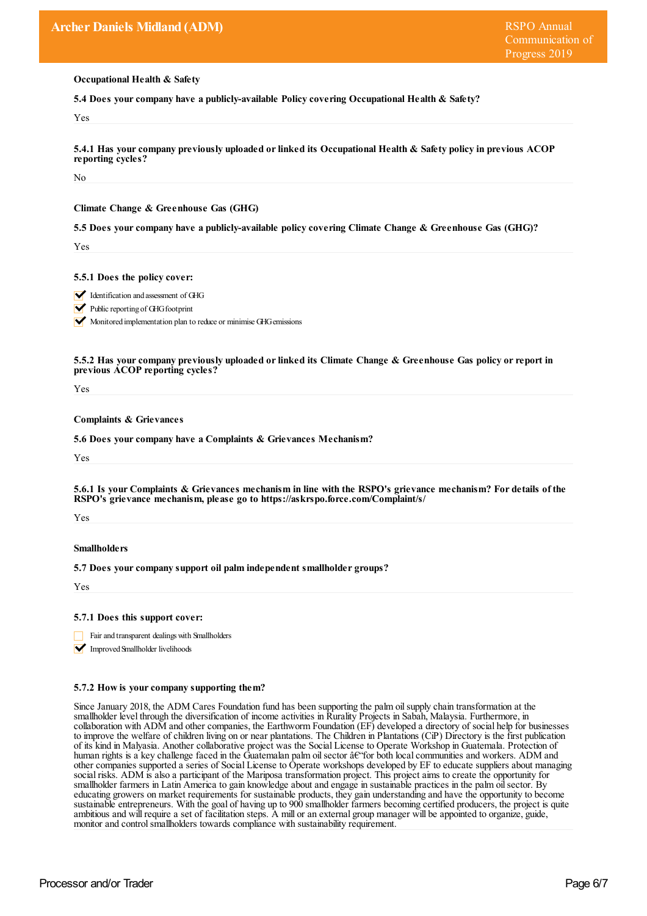**Occupational Health & Safety**

**5.4 Does yourcompany have a publicly-available Policy covering Occupational Health & Safety?**

Yes

**5.4.1 Has yourcompany previously uploaded orlinked its Occupational Health & Safety policy in previous ACOP reporting cycles?**

No

**Climate Change & Greenhouse Gas (GHG)**

**5.5 Does yourcompany have a publicly-available policy covering Climate Change & Greenhouse Gas (GHG)?**

Yes

**5.5.1 Does the policy cover:**

Identification and assessment of GHG

 $\blacktriangleright$  Public reporting of GHG footprint

Monitored implementation plan to reduce or minimise GHG emissions

**5.5.2 Has yourcompany previously uploaded orlinked its Climate Change & Greenhouse Gas policy orreport in previous ACOP reporting cycles?**

Yes

**Complaints & Grievances**

**5.6 Does yourcompany have a Complaints & Grievances Mechanism?**

Yes

5.6.1 Is your Complaints & Grievances mechanism in line with the RSPO's grievance mechanism? For details of the **RSPO's grievance mechanism, please go to https://askrspo.force.com/Complaint/s/**

Yes

#### **Smallholders**

**5.7 Does yourcompany support oil palm independent smallholder groups?**

Yes

## **5.7.1 Does this support cover:**

Fair and transparent dealings with Smallholders

**V** Improved Smallholder livelihoods

#### **5.7.2 How is yourcompany supporting them?**

Since January 2018, the ADM Cares Foundation fund has been supporting the palm oilsupply chain transformation at the smallholder level through the diversification of income activities in Rurality Projects in Sabah, Malaysia. Furthermore, in collaboration with ADM and other companies, the Earthworm Foundation (EF) developed a directory of social help for businesses to improve the welfare of children living on or near plantations. The Children in Plantations (CiP) Directory is the first publication of its kind in Malyasia. Another collaborative project was the Social License to Operate Workshop in Guatemala. Protection of human rights is a key challenge faced in the Guatemalan palm oil sector  $\hat{a} \hat{\epsilon}$  for both local communities and workers. ADM and other companies supported a series of Social License to Operate workshops developed by EF to educate suppliers about managing social risks. ADM is also a participant of the Mariposa transformation project. This project aims to create the opportunity for smallholder farmers in Latin America to gain knowledge about and engage in sustainable practices in the palm oilsector. By educating growers on market requirements for sustainable products, they gain understanding and have the opportunity to become sustainable entrepreneurs. With the goal of having up to 900 smallholder farmers becoming certified producers, the project is quite ambitious and will require a set of facilitation steps. A mill or an external group manager will be appointed to organize, guide, monitor and control smallholders towards compliance with sustainability requirement.